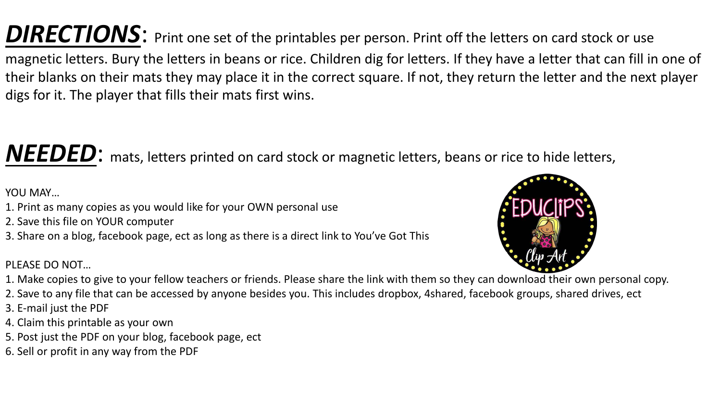DIRECTIONS: Print one set of the printables per person. Print off the letters on card stock or use magnetic letters. Bury the letters in beans or rice. Children dig for letters. If they have a letter that can fill in one of their blanks on their mats they may place it in the correct square. If not, they return the letter and the next player digs for it. The player that fills their mats first wins.

## *NEEDED*: mats, letters printed on card stock or magnetic letters, beans or rice to hide letters,

YOU MAY…

- 1. Print as many copies as you would like for your OWN personal use
- 2. Save this file on YOUR computer
- 3. Share on a blog, facebook page, ect as long as there is a direct link to You've Got This

PLEASE DO NOT…



- 1. Make copies to give to your fellow teachers or friends. Please share the link with them so they can download their own personal copy.
- 2. Save to any file that can be accessed by anyone besides you. This includes dropbox, 4shared, facebook groups, shared drives, ect
- 3. E-mail just the PDF
- 4. Claim this printable as your own
- 5. Post just the PDF on your blog, facebook page, ect
- 6. Sell or profit in any way from the PDF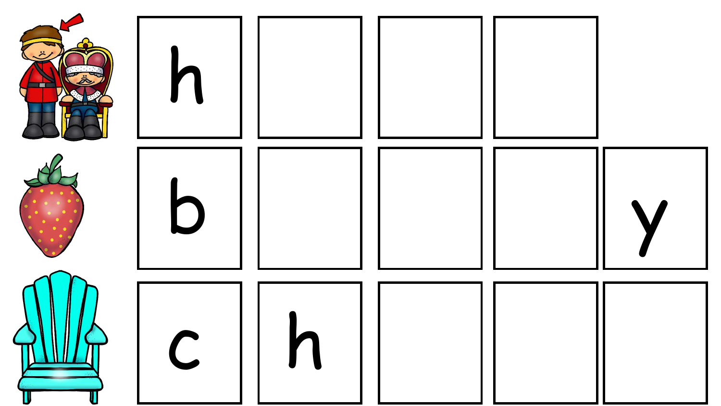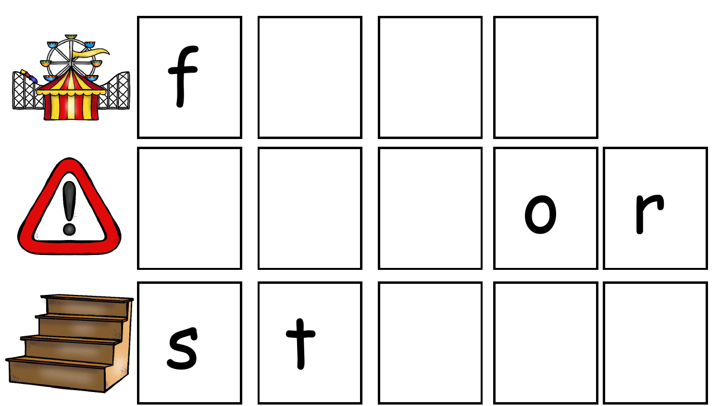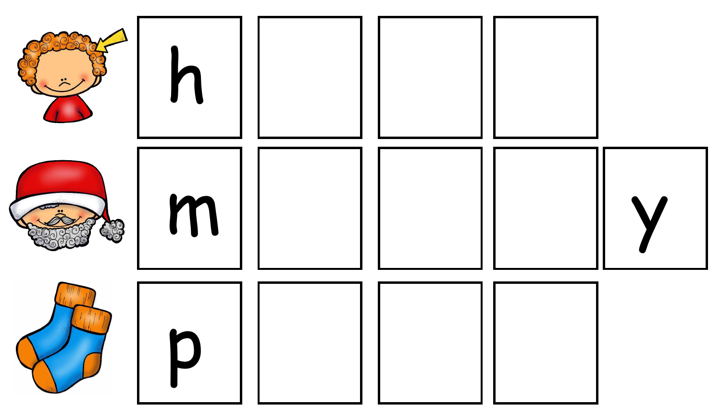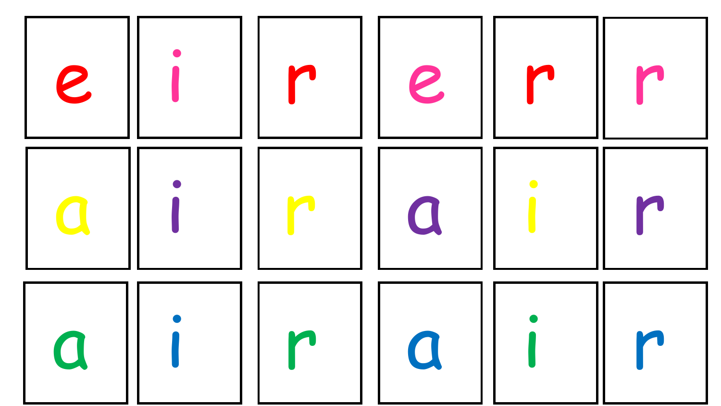